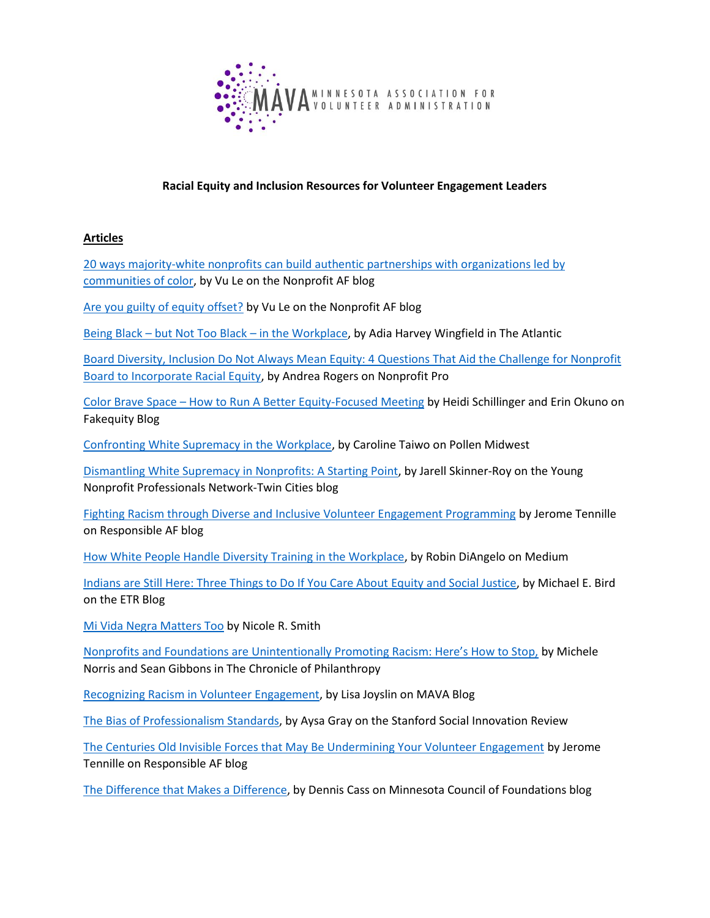

## **Racial Equity and Inclusion Resources for Volunteer Engagement Leaders**

### **Articles**

[20 ways majority-white nonprofits can build authentic partnerships with organizations led](https://nonprofitaf.com/2018/08/20-ways-majority-white-nonprofits-can-build-authentic-partnerships-with-organizations-led-by-communities-of-color/) by [communities of color,](https://nonprofitaf.com/2018/08/20-ways-majority-white-nonprofits-can-build-authentic-partnerships-with-organizations-led-by-communities-of-color/) by Vu Le on the Nonprofit AF blog

[Are you guilty of equity offset?](https://nonprofitaf.com/2019/11/are-you-guilty-of-equity-offset/) by Vu Le on the Nonprofit AF blog

Being Black – [but Not Too Black](https://www.theatlantic.com/business/archive/2015/10/being-black-work/409990/) – in the Workplace, by Adia Harvey Wingfield in The Atlantic

[Board Diversity, Inclusion Do Not Always Mean Equity: 4 Questions That Aid the Challenge for Nonprofit](https://www.nonprofitpro.com/post/board-diversity-inclusion-not-always-mean-equity-4-questions-aid-challenge-nonprofit-boards-incorporate-racial-equity/)  [Board to Incorporate Racial Equity,](https://www.nonprofitpro.com/post/board-diversity-inclusion-not-always-mean-equity-4-questions-aid-challenge-nonprofit-boards-incorporate-racial-equity/) by Andrea Rogers on Nonprofit Pro

Color Brave Space – [How to Run A Better Equity-Focused Meeting](https://fakequity.com/2017/05/26/color-brave-space-how-to-run-a-better-equity-focused-meeting/) by Heidi Schillinger and Erin Okuno on Fakequity Blog

[Confronting White Supremacy in the Workplace,](https://www.pollenmidwest.org/stories/confronting-white-supremacy-in-the-workplace/) by Caroline Taiwo on Pollen Midwest

[Dismantling White Supremacy in Nonprofits: A Starting Point,](http://www.ynpntwincities.org/dismantling_white_supremacy_in_nonprofits_a_starting_point) by Jarell Skinner-Roy on the Young Nonprofit Professionals Network-Twin Cities blog

[Fighting Racism through Diverse and Inclusive Volunteer Engagement Programming](https://www.jerometennille.com/post/fighting-racism-through-diverse-and-inclusive-volunteer-engagement-programming-part-1-of-2) by Jerome Tennille on Responsible AF blog

[How White People Handle Diversity Training in the Workplace,](https://medium.com/s/story/how-white-people-handle-diversity-training-in-the-workplace-e8408d2519f) by Robin DiAngelo on Medium

[Indians are Still Here: Three Things to Do If You Care About Equity and Social Justice,](https://www.etr.org/blog/indians-are-still-here-three-things-to-do-if-you-care-about-equity-and-social-justice/) by Michael E. Bird on the ETR Blog

[Mi Vida Negra Matters Too](https://medium.com/@askme_65563/mi-vida-negra-matters-too-9bb974ab45b1) by Nicole R. Smith

[Nonprofits and Foundations are Unintentionally Promoting Racism: Here's How to Stop,](https://www.philanthropy.com/article/NonprofitsFoundations-Are/245733) by Michele Norris and Sean Gibbons in The Chronicle of Philanthropy

[Recognizing Racism in Volunteer Engagement,](https://mava.clubexpress.com/content.aspx?page_id=2507&club_id=286912&item_id=2972) by Lisa Joyslin on MAVA Blog

[The Bias of Professionalism Standards,](https://ssir.org/articles/entry/the_bias_of_professionalism_standards) by Aysa Gray on the Stanford Social Innovation Review

[The Centuries Old Invisible Forces that May Be Undermining Your Volunteer Engagement](https://www.jerometennille.com/post/the-centuries-old-invisible-forces-that-may-be-undermining-your-positive-volunteer-engagement) by Jerome Tennille on Responsible AF blog

[The Difference that Makes a Difference,](https://mcf.org/difference-makes-difference) by Dennis Cass on Minnesota Council of Foundations blog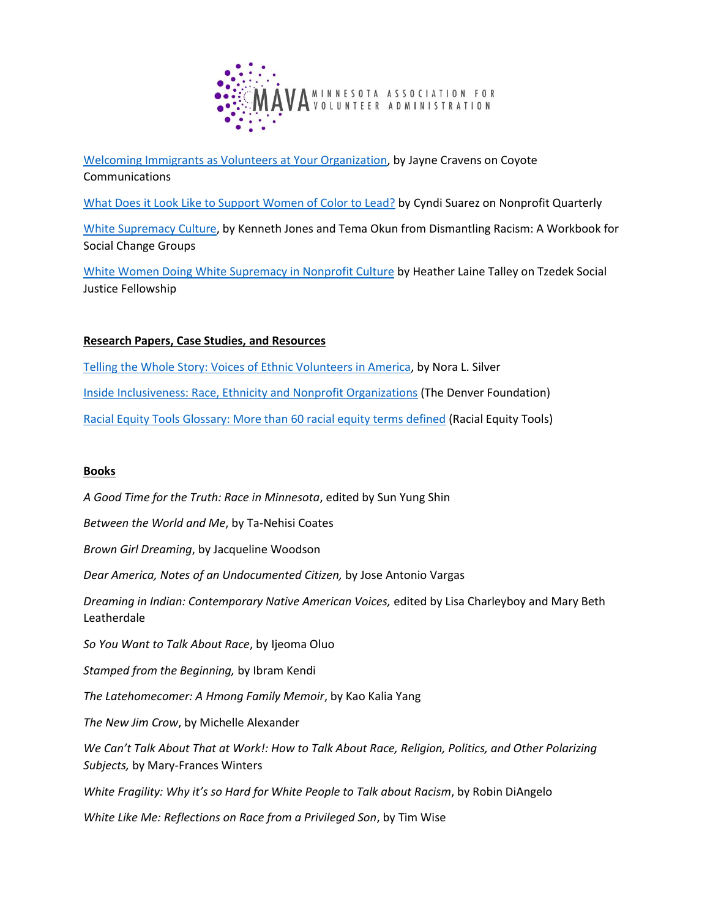

Welcoming Immigrants as [Volunteers at Your Organization,](http://coyotecommunications.com/coyoteblog/2017/03/immigrants/) by Jayne Cravens on Coyote Communications

[What Does it Look Like to Support Women of Color to Lead?](https://nonprofitquarterly.org/what-does-it-look-like-to-support-women-of-color-to-lead/) by Cyndi Suarez on Nonprofit Quarterly

[White Supremacy Culture,](http://cwsworkshop.org/PARC_site_B/dr-culture.html) by Kenneth Jones and Tema Okun from Dismantling Racism: A Workbook for Social Change Groups

[White Women Doing White Supremacy in Nonprofit Culture](http://tzedekfellowship.org/white-women-doing-white-supremacy-in-nonprofit-culture/) by Heather Laine Talley on Tzedek Social Justice Fellowship

# **Research Papers, Case Studies, and Resources**

[Telling the Whole Story: Voices of Ethnic Volunteers in America,](https://www.haasjr.org/sites/default/files/resources/TellingTheWholeStory.pdf) by Nora L. Silver

[Inside Inclusiveness: Race, Ethnicity and Nonprofit Organizations](http://www.nonprofitinclusiveness.org/files/Inside_Inclusiveness_Exec_Summ_1.pdf) (The Denver Foundation)

[Racial Equity Tools Glossary: More than 60 racial equity terms defined](https://www.racialequitytools.org/glossary) (Racial Equity Tools)

### **Books**

*A Good Time for the Truth: Race in Minnesota*, edited by Sun Yung Shin

*Between the World and Me*, by Ta-Nehisi Coates

*Brown Girl Dreaming*, by Jacqueline Woodson

*Dear America, Notes of an Undocumented Citizen,* by Jose Antonio Vargas

*Dreaming in Indian: Contemporary Native American Voices,* edited by Lisa Charleyboy and Mary Beth Leatherdale

*So You Want to Talk About Race*, by Ijeoma Oluo

*Stamped from the Beginning,* by Ibram Kendi

*The Latehomecomer: A Hmong Family Memoir*, by Kao Kalia Yang

*The New Jim Crow*, by Michelle Alexander

*We Can't Talk About That at Work!: How to Talk About Race, Religion, Politics, and Other Polarizing Subjects,* by Mary-Frances Winters

*White Fragility: Why it's so Hard for White People to Talk about Racism*, by Robin DiAngelo

*White Like Me: Reflections on Race from a Privileged Son*, by Tim Wise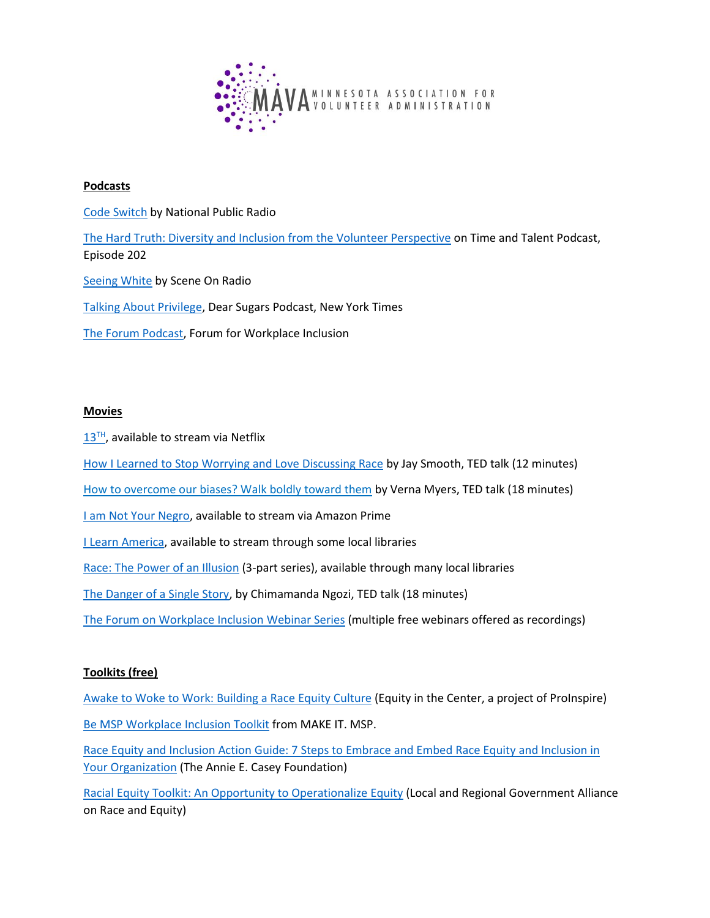

#### **Podcasts**

[Code Switch](https://www.npr.org/sections/codeswitch/) by National Public Radio

[The Hard Truth: Diversity and Inclusion from the Volunteer Perspective](https://www.timeandtalentpod.com/news/2020/9/28/201-the-hard-truth-diversity-amp-inclusion-from-the-volunteer-perspective) on Time and Talent Podcast, Episode 202

[Seeing White](http://www.sceneonradio.org/seeing-white/) by Scene On Radio

[Talking About Privilege,](https://www.nytimes.com/2018/08/11/podcasts/dear-sugars-privilege-racism-sexism.html) Dear Sugars Podcast, New York Times

[The Forum Podcast,](https://forumworkplaceinclusion.org/podcast/) Forum for Workplace Inclusion

#### **Movies**

 $13<sup>TH</sup>$  $13<sup>TH</sup>$ , available to stream via Netflix

[How I Learned to Stop Worrying and Love Discussing Race](https://www.youtube.com/watch?v=MbdxeFcQtaU) by Jay Smooth, TED talk (12 minutes)

[How to overcome our biases? Walk boldly toward them](https://www.ted.com/talks/verna_myers_how_to_overcome_our_biases_walk_boldly_toward_them) by Verna Myers, TED talk (18 minutes)

[I am Not Your Negro,](https://www.amazon.com/I-Am-Not-Your-Negro/dp/B01MT86T72) available to stream via Amazon Prime

[I Learn America,](http://ilearnamerica.com/watch/) available to stream through some local libraries

[Race: The Power of an Illusion](https://www.kanopy.com/product/race) (3-part series), available through many local libraries

[The Danger of a Single Story,](https://www.ted.com/talks/chimamanda_ngozi_adichie_the_danger_of_a_single_story?language=en) by Chimamanda Ngozi, TED talk (18 minutes)

[The Forum on Workplace Inclusion Webinar Series](https://forumworkplaceinclusion.org/webinar/past/) (multiple free webinars offered as recordings)

### **Toolkits (free)**

[Awake to Woke to Work: Building a Race Equity Culture](https://static1.squarespace.com/static/56b910ccb6aa60c971d5f98a/t/5adf3de1352f530132863c37/1524579817415/ProInspire-Equity-in-Center-publication.pdf) (Equity in the Center, a project of ProInspire) [Be MSP Workplace Inclusion Toolkit](https://makeitmsp.teachable.com/p/inclusivetoolkit) from MAKE IT. MSP.

[Race Equity and Inclusion Action Guide: 7 Steps to Embrace and Embed Race Equity and Inclusion in](http://www.aecf.org/m/resourcedoc/AECF_EmbracingEquity7Steps-2014.pdf)  [Your Organization](http://www.aecf.org/m/resourcedoc/AECF_EmbracingEquity7Steps-2014.pdf) (The Annie E. Casey Foundation)

[Racial Equity Toolkit: An Opportunity to Operationalize Equity](https://racialequityalliance.org/wp-content/uploads/2015/10/GARE-Racial_Equity_Toolkit.pdf) (Local and Regional Government Alliance on Race and Equity)